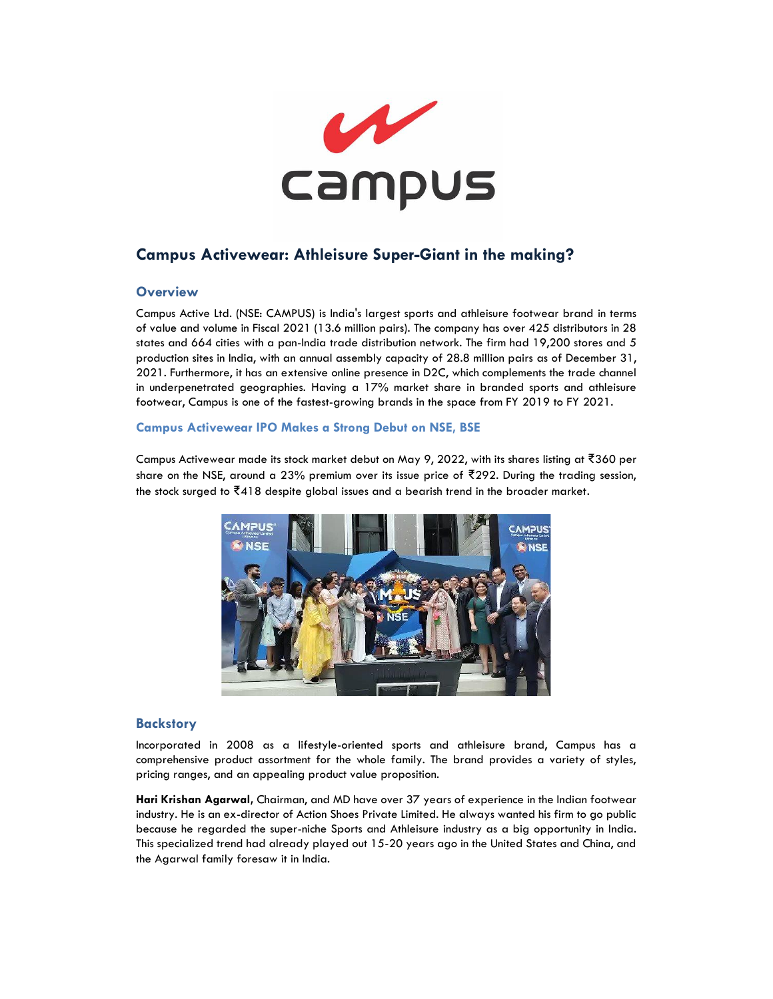

# **Campus Activewear: Athleisure Super-Giant in the making?**

# **Overview**

Campus Active Ltd. (NSE: CAMPUS) is India's largest sports and athleisure footwear brand in terms of value and volume in Fiscal 2021 (13.6 million pairs). The company has over 425 distributors in 28 states and 664 cities with a pan-India trade distribution network. The firm had 19,200 stores and 5 production sites in India, with an annual assembly capacity of 28.8 million pairs as of December 31, 2021. Furthermore, it has an extensive online presence in D2C, which complements the trade channel in underpenetrated geographies. Having a 17% market share in branded sports and athleisure footwear, Campus is one of the fastest-growing brands in the space from FY 2019 to FY 2021.

### **Campus Activewear IPO Makes a Strong Debut on NSE, BSE**

Campus Activewear made its stock market debut on May 9, 2022, with its shares listing at ₹360 per share on the NSE, around a 23% premium over its issue price of ₹292. During the trading session, the stock surged to ₹418 despite global issues and a bearish trend in the broader market.



# **Backstory**

Incorporated in 2008 as a lifestyle-oriented sports and athleisure brand, Campus has a comprehensive product assortment for the whole family. The brand provides a variety of styles, pricing ranges, and an appealing product value proposition.

**Hari Krishan Agarwal,** Chairman, and MD have over 37 years of experience in the Indian footwear industry. He is an ex-director of Action Shoes Private Limited. He always wanted his firm to go public because he regarded the super-niche Sports and Athleisure industry as a big opportunity in India. This specialized trend had already played out 15-20 years ago in the United States and China, and the Agarwal family foresaw it in India.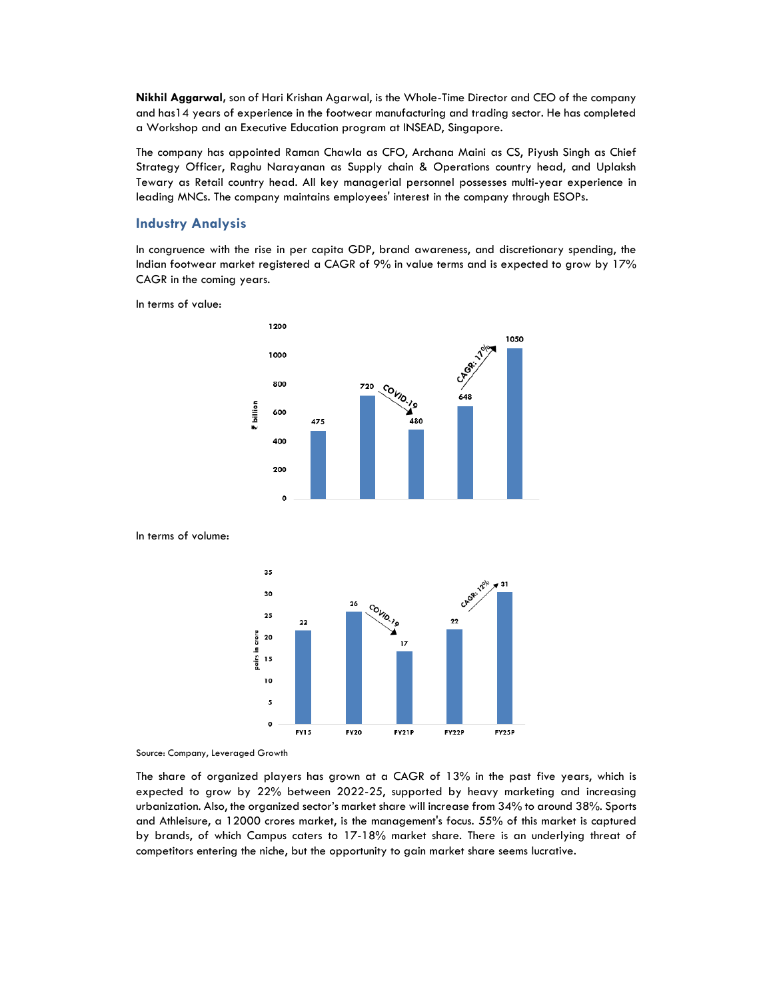**Nikhil Aggarwal,** son of Hari Krishan Agarwal, is the Whole-Time Director and CEO of the company and has14 years of experience in the footwear manufacturing and trading sector. He has completed a Workshop and an Executive Education program at INSEAD, Singapore.

The company has appointed Raman Chawla as CFO, Archana Maini as CS, Piyush Singh as Chief Strategy Officer, Raghu Narayanan as Supply chain & Operations country head, and Uplaksh Tewary as Retail country head. All key managerial personnel possesses multi-year experience in leading MNCs. The company maintains employees' interest in the company through ESOPs.

# **Industry Analysis**

In congruence with the rise in per capita GDP, brand awareness, and discretionary spending, the Indian footwear market registered a CAGR of 9% in value terms and is expected to grow by 17% CAGR in the coming years.

In terms of value:



couto

 $22$ 

**FY22P** 

FY25P

In terms of volume:



 $25$ 

 $22$ 

**FY15** 

**FY20** 

The share of organized players has grown at a CAGR of 13% in the past five years, which is expected to grow by 22% between 2022-25, supported by heavy marketing and increasing urbanization. Also, the organized sector's market share will increase from 34% to around 38%. Sports and Athleisure, a 12000 crores market, is the management's focus. 55% of this market is captured by brands, of which Campus caters to 17-18% market share. There is an underlying threat of competitors entering the niche, but the opportunity to gain market share seems lucrative.

**FY21P**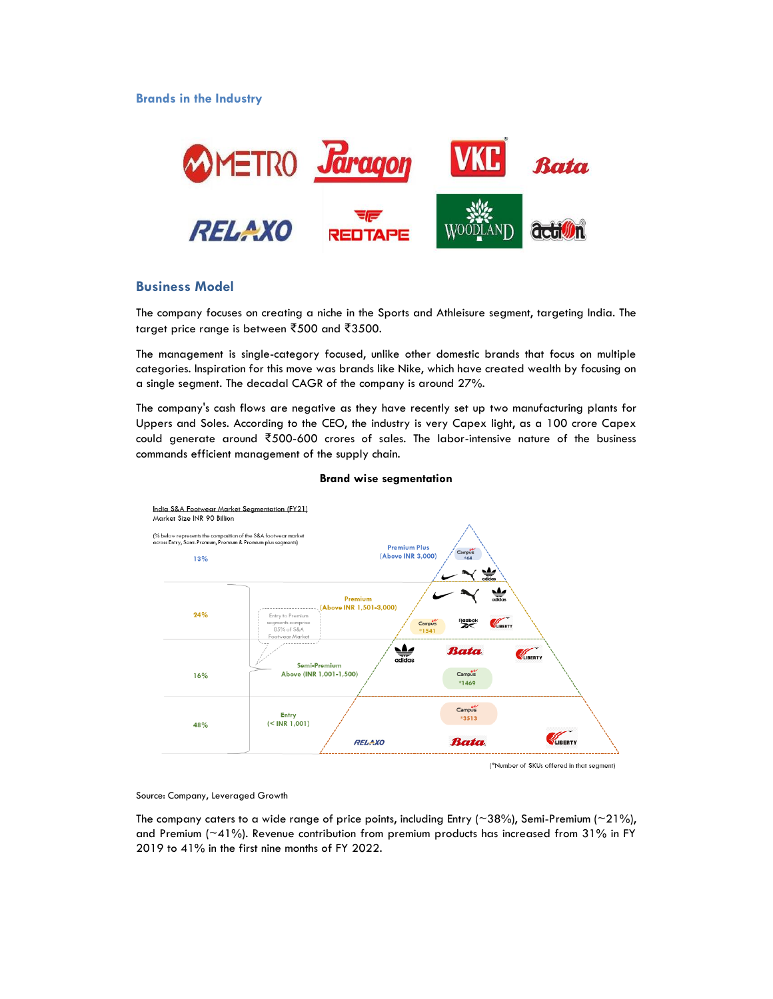**Brands in the Industry**



# **Business Model**

The company focuses on creating a niche in the Sports and Athleisure segment, targeting India. The target price range is between ₹500 and ₹3500.

The management is single-category focused, unlike other domestic brands that focus on multiple categories. Inspiration for this move was brands like Nike, which have created wealth by focusing on a single segment. The decadal CAGR of the company is around 27%.

The company's cash flows are negative as they have recently set up two manufacturing plants for Uppers and Soles. According to the CEO, the industry is very Capex light, as a 100 crore Capex could generate around ₹500-600 crores of sales. The labor-intensive nature of the business commands efficient management of the supply chain.



#### **Brand wise segmentation**

Source: Company, Leveraged Growth

The company caters to a wide range of price points, including Entry ( $\sim$ 38%), Semi-Premium ( $\sim$ 21%), and Premium (~41%). Revenue contribution from premium products has increased from 31% in FY 2019 to 41% in the first nine months of FY 2022.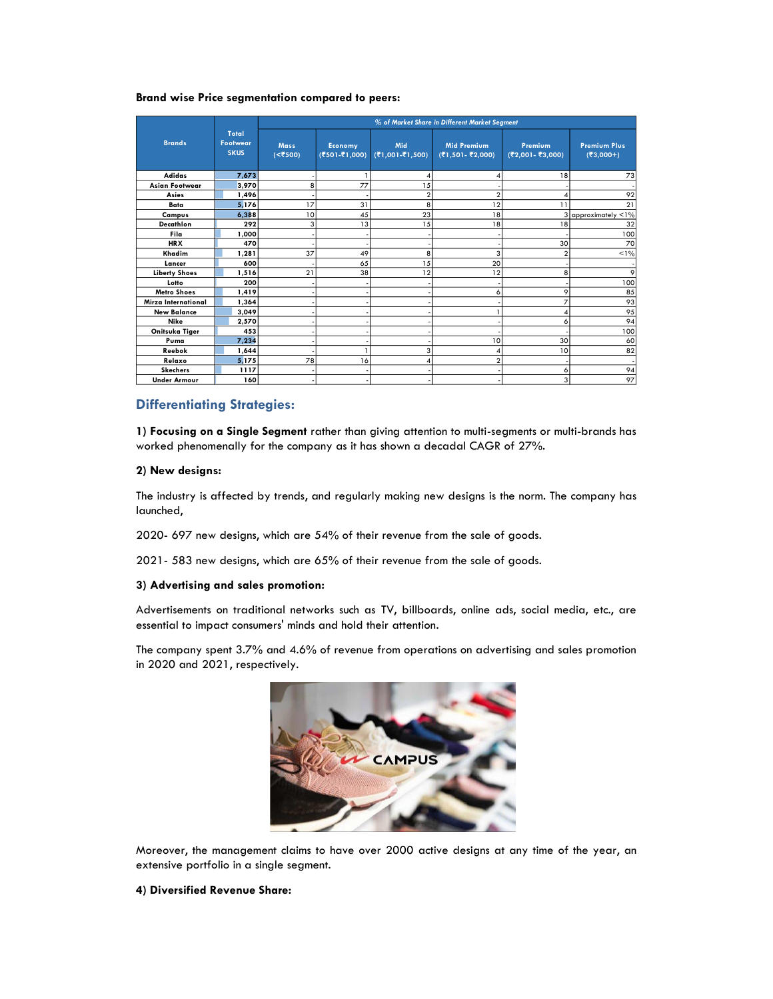#### **Brand wise Price segmentation compared to peers:**

|                       |                                         | % of Market Share in Different Market Segment |                                 |                        |                                         |                              |                                  |  |  |  |
|-----------------------|-----------------------------------------|-----------------------------------------------|---------------------------------|------------------------|-----------------------------------------|------------------------------|----------------------------------|--|--|--|
| <b>Brands</b>         | Total<br><b>Footwear</b><br><b>SKUS</b> | <b>Mass</b><br>(<₹500)                        | <b>Economy</b><br>(₹501-₹1,000) | Mid<br>(₹1,001-₹1,500) | <b>Mid Premium</b><br>(₹1,501 - ₹2,000) | Premium<br>(₹2,001 - ₹3,000) | <b>Premium Plus</b><br>(₹3,000+) |  |  |  |
| <b>Adidas</b>         | 7,673                                   |                                               |                                 | 4                      |                                         | 18                           | 73                               |  |  |  |
| <b>Asian Footwear</b> | 3,970                                   | 8                                             | 77                              | 15                     |                                         |                              |                                  |  |  |  |
| Asies                 | 1,496                                   |                                               |                                 | $\overline{a}$         |                                         |                              | 92                               |  |  |  |
| Bata                  | 5.176                                   | 17                                            | 31                              | 8                      | 12                                      | 11                           | 21                               |  |  |  |
| Campus                | 6,388                                   | 10                                            | 45                              | 23                     | 18                                      |                              | approximately <1%                |  |  |  |
| Decathlon             | 292                                     | 3                                             | 13                              | 15                     | 18                                      | 18                           | 32                               |  |  |  |
| Fila                  | 1,000                                   |                                               |                                 |                        |                                         |                              | 100                              |  |  |  |
| <b>HRX</b>            | 470                                     |                                               |                                 |                        |                                         | 30                           | 70                               |  |  |  |
| Khadim                | 1.281                                   | 37                                            | 49                              | 8                      | 3                                       | $\overline{2}$               | $1\%$                            |  |  |  |
| Lancer                | 600                                     |                                               | 65                              | 15                     | 20                                      |                              |                                  |  |  |  |
| <b>Liberty Shoes</b>  | 1,516                                   | 21                                            | 38                              | 12                     | 12                                      | 8                            | 9                                |  |  |  |
| Lotto                 | 200                                     |                                               |                                 |                        |                                         |                              | 100                              |  |  |  |
| <b>Metro Shoes</b>    | 1,419                                   |                                               |                                 |                        | 6                                       | 9                            | 85                               |  |  |  |
| Mirza International   | 1,364                                   |                                               |                                 |                        |                                         | $\overline{7}$               | 93                               |  |  |  |
| <b>New Balance</b>    | 3.049                                   |                                               |                                 |                        |                                         | 4                            | 95                               |  |  |  |
| <b>Nike</b>           | 2,570                                   |                                               |                                 |                        |                                         | 6                            | 94                               |  |  |  |
| Onitsuka Tiger        | 453                                     |                                               |                                 |                        |                                         |                              | 100                              |  |  |  |
| Puma                  | 7.234                                   |                                               |                                 |                        | 10                                      | 30                           | 60                               |  |  |  |
| Reebok                | 1.644                                   |                                               |                                 | 3                      |                                         | 10                           | 82                               |  |  |  |
| Relaxo                | 5,175                                   | 78                                            | 16                              | 4                      | $\overline{a}$                          |                              |                                  |  |  |  |
| <b>Skechers</b>       | 1117                                    |                                               |                                 |                        |                                         | 6                            | 94                               |  |  |  |
| <b>Under Armour</b>   | 160                                     |                                               |                                 |                        |                                         | 3                            | 97                               |  |  |  |

# **Differentiating Strategies:**

**1) Focusing on a Single Segment** rather than giving attention to multi-segments or multi-brands has worked phenomenally for the company as it has shown a decadal CAGR of 27%.

#### **2) New designs:**

The industry is affected by trends, and regularly making new designs is the norm. The company has launched,

2020- 697 new designs, which are 54% of their revenue from the sale of goods.

2021- 583 new designs, which are 65% of their revenue from the sale of goods.

#### **3) Advertising and sales promotion:**

Advertisements on traditional networks such as TV, billboards, online ads, social media, etc., are essential to impact consumers' minds and hold their attention.

The company spent 3.7% and 4.6% of revenue from operations on advertising and sales promotion in 2020 and 2021, respectively.



Moreover, the management claims to have over 2000 active designs at any time of the year, an extensive portfolio in a single segment.

#### **4) Diversified Revenue Share:**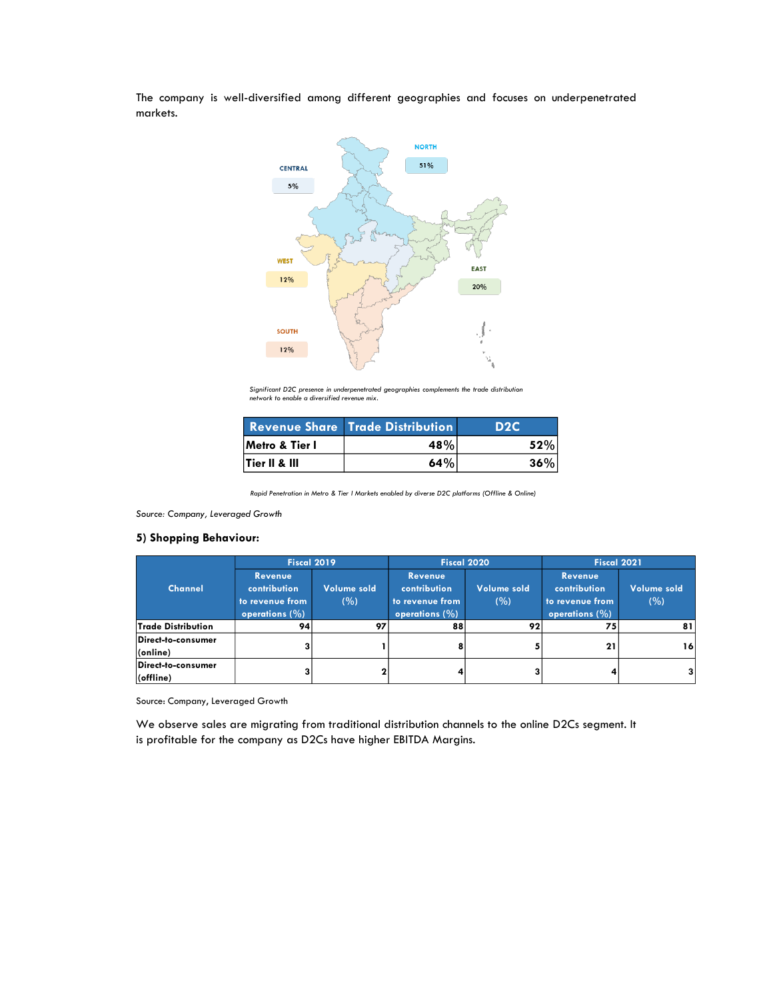The company is well-diversified among different geographies and focuses on underpenetrated markets.



*Significant D2C presence in underpenetrated geographies complements the trade distribution network to enable a diversified revenue mix.*

|                | <b>Revenue Share Trade Distribution</b> | D <sub>2</sub> C |
|----------------|-----------------------------------------|------------------|
| Metro & Tier I | 48%                                     | 52%              |
| Tier II & III  | 64%                                     | 36%              |

*Rapid Penetration in Metro & Tier I Markets enabled by diverse D2C platforms (Offline & Online)*

*Source: Company, Leveraged Growth*

### **5) Shopping Behaviour:**

|                                             | Fiscal 2019                                                             |                    |                                                                         | Fiscal 2020        | <b>Fiscal 2021</b>                                                      |                    |  |
|---------------------------------------------|-------------------------------------------------------------------------|--------------------|-------------------------------------------------------------------------|--------------------|-------------------------------------------------------------------------|--------------------|--|
| <b>Channel</b>                              | <b>Revenue</b><br>contribution<br>to revenue from<br>operations $(\% )$ | Volume sold<br>(%) | <b>Revenue</b><br>contribution<br>to revenue from<br>operations $(\% )$ | Volume sold<br>(%) | <b>Revenue</b><br>contribution<br>to revenue from<br>operations $(\% )$ | Volume sold<br>(%) |  |
| <b>Trade Distribution</b>                   | 94                                                                      | 97                 | 88                                                                      | 92                 | 75                                                                      | 81                 |  |
| Direct-to-consumer<br>$ _{\text{(online)}}$ |                                                                         |                    |                                                                         |                    | 21                                                                      | 16                 |  |
| Direct-to-consumer<br>$ $ (offline)         |                                                                         |                    |                                                                         |                    |                                                                         |                    |  |

Source: Company, Leveraged Growth

We observe sales are migrating from traditional distribution channels to the online D2Cs segment. It is profitable for the company as D2Cs have higher EBITDA Margins.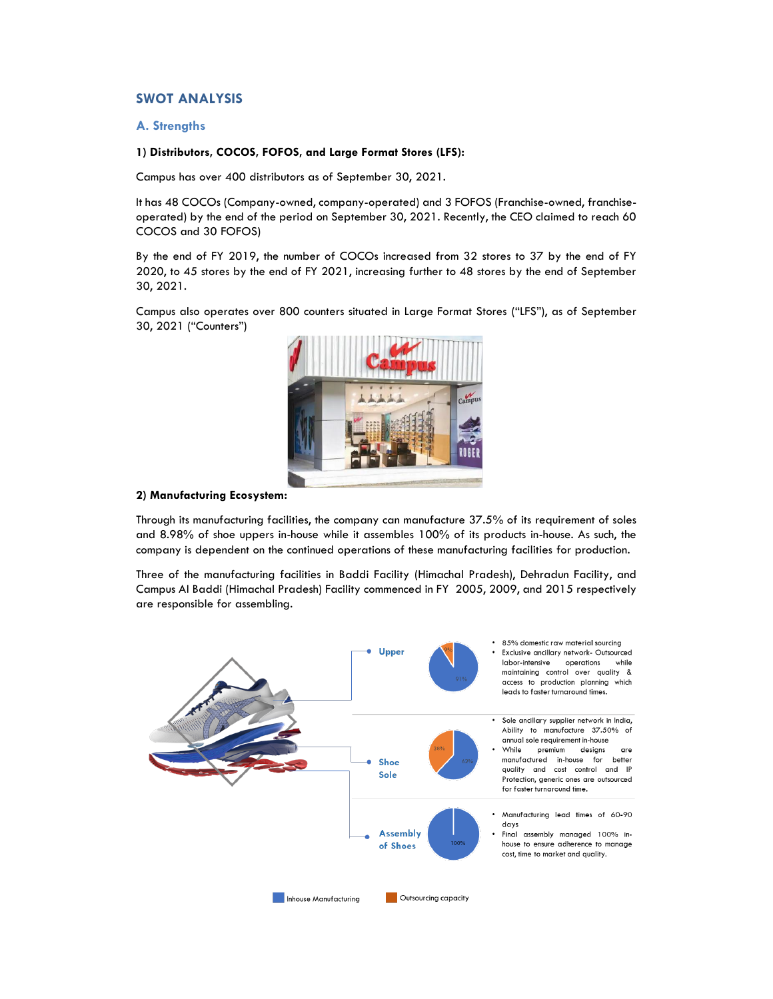# **SWOT ANALYSIS**

### **A. Strengths**

### **1) Distributors, COCOS, FOFOS, and Large Format Stores (LFS):**

Campus has over 400 distributors as of September 30, 2021.

It has 48 COCOs (Company-owned, company-operated) and 3 FOFOS (Franchise-owned, franchiseoperated) by the end of the period on September 30, 2021. Recently, the CEO claimed to reach 60 COCOS and 30 FOFOS)

By the end of FY 2019, the number of COCOs increased from 32 stores to 37 by the end of FY 2020, to 45 stores by the end of FY 2021, increasing further to 48 stores by the end of September 30, 2021.

Campus also operates over 800 counters situated in Large Format Stores ("LFS"), as of September 30, 2021 ("Counters")



#### **2) Manufacturing Ecosystem:**

Through its manufacturing facilities, the company can manufacture 37.5% of its requirement of soles and 8.98% of shoe uppers in-house while it assembles 100% of its products in-house. As such, the company is dependent on the continued operations of these manufacturing facilities for production.

Three of the manufacturing facilities in Baddi Facility (Himachal Pradesh), Dehradun Facility, and Campus AI Baddi (Himachal Pradesh) Facility commenced in FY 2005, 2009, and 2015 respectively are responsible for assembling.

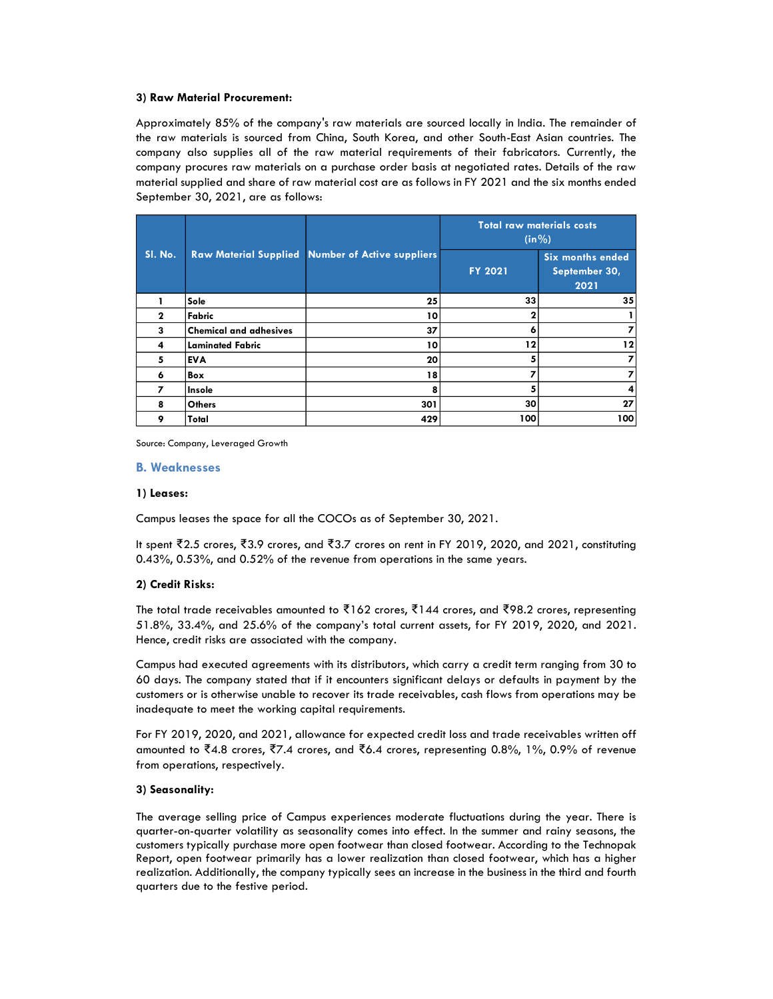#### **3) Raw Material Procurement:**

Approximately 85% of the company's raw materials are sourced locally in India. The remainder of the raw materials is sourced from China, South Korea, and other South-East Asian countries. The company also supplies all of the raw material requirements of their fabricators. Currently, the company procures raw materials on a purchase order basis at negotiated rates. Details of the raw material supplied and share of raw material cost are as follows in FY 2021 and the six months ended September 30, 2021, are as follows:

| SI. No.      |                               |                                                         | <b>Total raw materials costs</b><br>$(in \% )$ |                                                  |  |  |
|--------------|-------------------------------|---------------------------------------------------------|------------------------------------------------|--------------------------------------------------|--|--|
|              |                               | <b>Raw Material Supplied Number of Active suppliers</b> | <b>FY 2021</b>                                 | <b>Six months ended</b><br>September 30,<br>2021 |  |  |
|              | Sole                          | 25                                                      | 33                                             | 35                                               |  |  |
| $\mathbf{2}$ | Fabric                        | 10                                                      |                                                |                                                  |  |  |
| 3            | <b>Chemical and adhesives</b> | 37                                                      | o                                              |                                                  |  |  |
| 4            | <b>Laminated Fabric</b>       | 10                                                      | 12                                             | 12                                               |  |  |
| 5            | <b>EVA</b>                    | 20                                                      |                                                |                                                  |  |  |
| 6            | Box                           | 18                                                      |                                                |                                                  |  |  |
| 7            | Insole                        | 8                                                       |                                                | 4                                                |  |  |
| 8            | <b>Others</b>                 | 301                                                     | 30                                             | 27                                               |  |  |
| 9            | Total                         | 429                                                     | 100                                            | 100                                              |  |  |

Source: Company, Leveraged Growth

### **B. Weaknesses**

#### **1) Leases:**

Campus leases the space for all the COCOs as of September 30, 2021.

It spent ₹2.5 crores, ₹3.9 crores, and ₹3.7 crores on rent in FY 2019, 2020, and 2021, constituting 0.43%, 0.53%, and 0.52% of the revenue from operations in the same years.

#### **2) Credit Risks:**

The total trade receivables amounted to ₹162 crores, ₹144 crores, and ₹98.2 crores, representing 51.8%, 33.4%, and 25.6% of the company's total current assets, for FY 2019, 2020, and 2021. Hence, credit risks are associated with the company.

Campus had executed agreements with its distributors, which carry a credit term ranging from 30 to 60 days. The company stated that if it encounters significant delays or defaults in payment by the customers or is otherwise unable to recover its trade receivables, cash flows from operations may be inadequate to meet the working capital requirements.

For FY 2019, 2020, and 2021, allowance for expected credit loss and trade receivables written off amounted to ₹4.8 crores, ₹7.4 crores, and ₹6.4 crores, representing 0.8%, 1%, 0.9% of revenue from operations, respectively.

### **3) Seasonality:**

The average selling price of Campus experiences moderate fluctuations during the year. There is quarter-on-quarter volatility as seasonality comes into effect. In the summer and rainy seasons, the customers typically purchase more open footwear than closed footwear. According to the Technopak Report, open footwear primarily has a lower realization than closed footwear, which has a higher realization. Additionally, the company typically sees an increase in the business in the third and fourth quarters due to the festive period.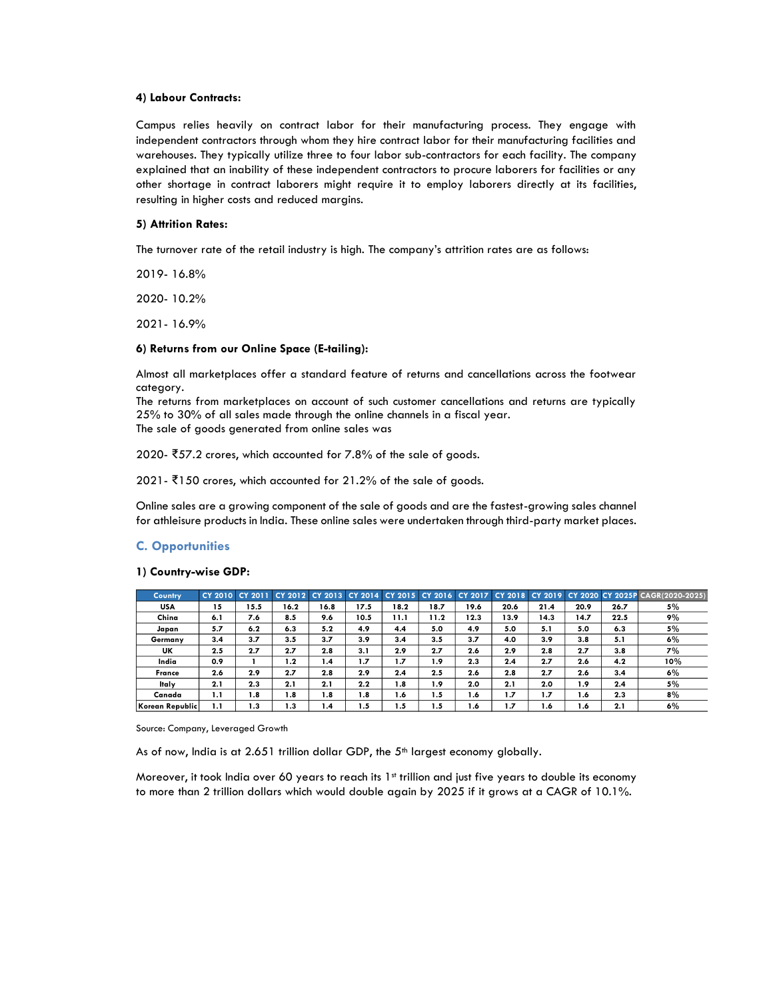#### **4) Labour Contracts:**

Campus relies heavily on contract labor for their manufacturing process. They engage with independent contractors through whom they hire contract labor for their manufacturing facilities and warehouses. They typically utilize three to four labor sub-contractors for each facility. The company explained that an inability of these independent contractors to procure laborers for facilities or any other shortage in contract laborers might require it to employ laborers directly at its facilities, resulting in higher costs and reduced margins.

#### **5) Attrition Rates:**

The turnover rate of the retail industry is high. The company's attrition rates are as follows:

2019- 16.8%

2020- 10.2%

2021- 16.9%

#### **6) Returns from our Online Space (E-tailing):**

Almost all marketplaces offer a standard feature of returns and cancellations across the footwear category.

The returns from marketplaces on account of such customer cancellations and returns are typically 25% to 30% of all sales made through the online channels in a fiscal year.

The sale of goods generated from online sales was

2020- ₹57.2 crores, which accounted for 7.8% of the sale of goods.

2021- ₹150 crores, which accounted for 21.2% of the sale of goods.

Online sales are a growing component of the sale of goods and are the fastest-growing sales channel for athleisure products in India. These online sales were undertaken through third-party market places.

#### **C. Opportunities**

#### **1) Country-wise GDP:**

| <b>Country</b>  | CY 2010 CY 2011 |      | CY 2012 CY 2013 |      | CY 2014          |      | CY 2015 CY 2016 | <b>CY 2017</b> | <b>CY 2018</b> | CY 2019 |      |      | CY 2020 CY 2025P CAGR(2020-2025) |
|-----------------|-----------------|------|-----------------|------|------------------|------|-----------------|----------------|----------------|---------|------|------|----------------------------------|
| USA             | 15              | 15.5 | 16.2            | 16.8 | 17.5             | 18.2 | 18.7            | 19.6           | 20.6           | 21.4    | 20.9 | 26.7 | 5%                               |
| China           | 6.1             | 7.6  | 8.5             | 9.6  | 10.5             | 11.1 | 11.2            | 12.3           | 13.9           | 14.3    | 14.7 | 22.5 | 9%                               |
| Japan           | 5.7             | 6.2  | 6.3             | 5.2  | 4.9              | 4.4  | 5.0             | 4.9            | 5.0            | 5.1     | 5.0  | 6.3  | 5%                               |
| Germany         | 3.4             | 3.7  | 3.5             | 3.7  | 3.9              | 3.4  | 3.5             | 3.7            | 4.0            | 3.9     | 3.8  | 5.1  | 6%                               |
| <b>UK</b>       | 2.5             | 2.7  | 2.7             | 2.8  | 3.1              | 2.9  | 2.7             | 2.6            | 2.9            | 2.8     | 2.7  | 3.8  | 7%                               |
| India           | 0.9             |      | 1.2             | 1.4  | 1.7              | 1.7  | 1.9             | 2.3            | 2.4            | 2.7     | 2.6  | 4.2  | 10%                              |
| France          | 2.6             | 2.9  | 2.7             | 2.8  | 2.9              | 2.4  | 2.5             | 2.6            | 2.8            | 2.7     | 2.6  | 3.4  | 6%                               |
| Italy           | 2.1             | 2.3  | 2.1             | 2.1  | 2.2              | 1.8  | 1.9             | 2.0            | 2.1            | 2.0     | 1.9  | 2.4  | 5%                               |
| Canada          | 1.1             | 1.8  | 1.8             | 1.8  | $\mathbf{8}$ . I | 1.6  | 1.5             | 1.6            | 1.7            | 1.7     | 1.6  | 2.3  | 8%                               |
| Korean Republic | 1.1             | 1.3  | 1.3             | 1.4  | 1.5              | 1.5  | 1.5             | 1.6            | .7             | 1.6     | 1.6  | 2.1  | 6%                               |

Source: Company, Leveraged Growth

As of now, India is at  $2.651$  trillion dollar GDP, the  $5<sup>th</sup>$  largest economy globally.

Moreover, it took India over 60 years to reach its 1st trillion and just five years to double its economy to more than 2 trillion dollars which would double again by 2025 if it grows at a CAGR of 10.1%.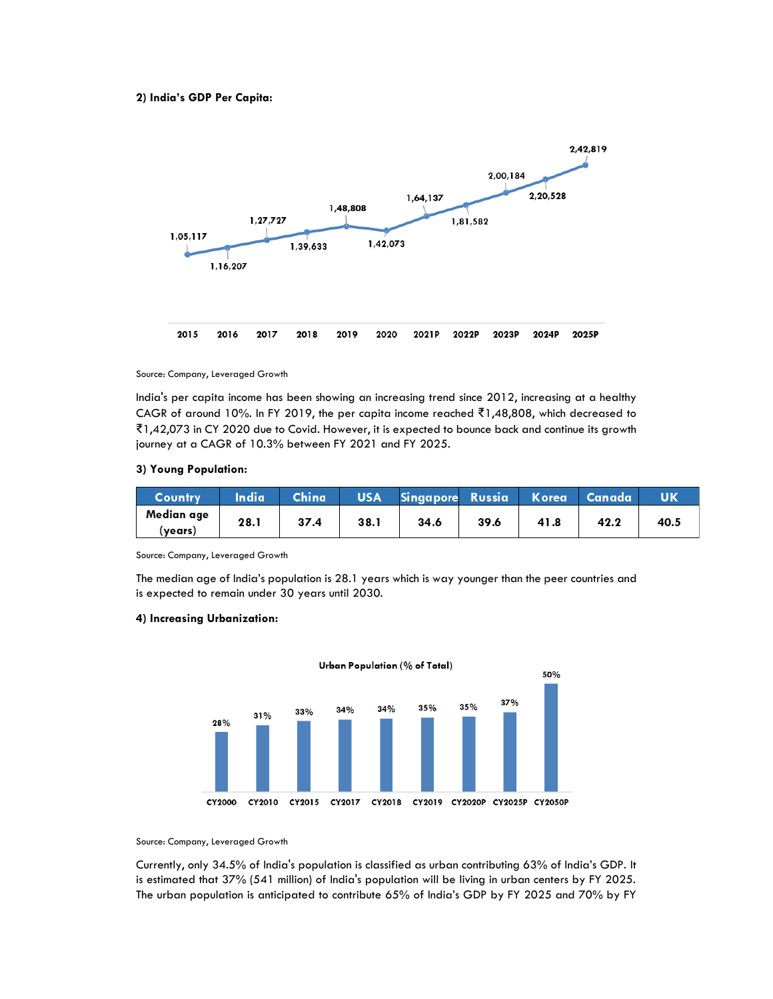### **2) India's GDP Per Capita:**



Source: Company, Leveraged Growth

India's per capita income has been showing an increasing trend since 2012, increasing at a healthy CAGR of around 10%. In FY 2019, the per capita income reached ₹1,48,808, which decreased to ₹1,42,073 in CY 2020 due to Covid. However, it is expected to bounce back and continue its growth journey at a CAGR of 10.3% between FY 2021 and FY 2025.

#### **3) Young Population:**

| Country               | <b>India</b> | China | <b>USA</b> | Singapore Russia |      | <b>Korea</b> | - Canada |      |
|-----------------------|--------------|-------|------------|------------------|------|--------------|----------|------|
| Median age<br>(vears) | 28.1         | 37.4  | 38.1       | 34.6             | 39.6 | 41.8         | 42.2     | 40.5 |

Source: Company, Leveraged Growth

The median age of India's population is 28.1 years which is way younger than the peer countries and is expected to remain under 30 years until 2030.

#### **4) Increasing Urbanization:**



Source: Company, Leveraged Growth

Currently, only 34.5% of India's population is classified as urban contributing 63% of India's GDP. It is estimated that 37% (541 million) of India's population will be living in urban centers by FY 2025. The urban population is anticipated to contribute 65% of India's GDP by FY 2025 and 70% by FY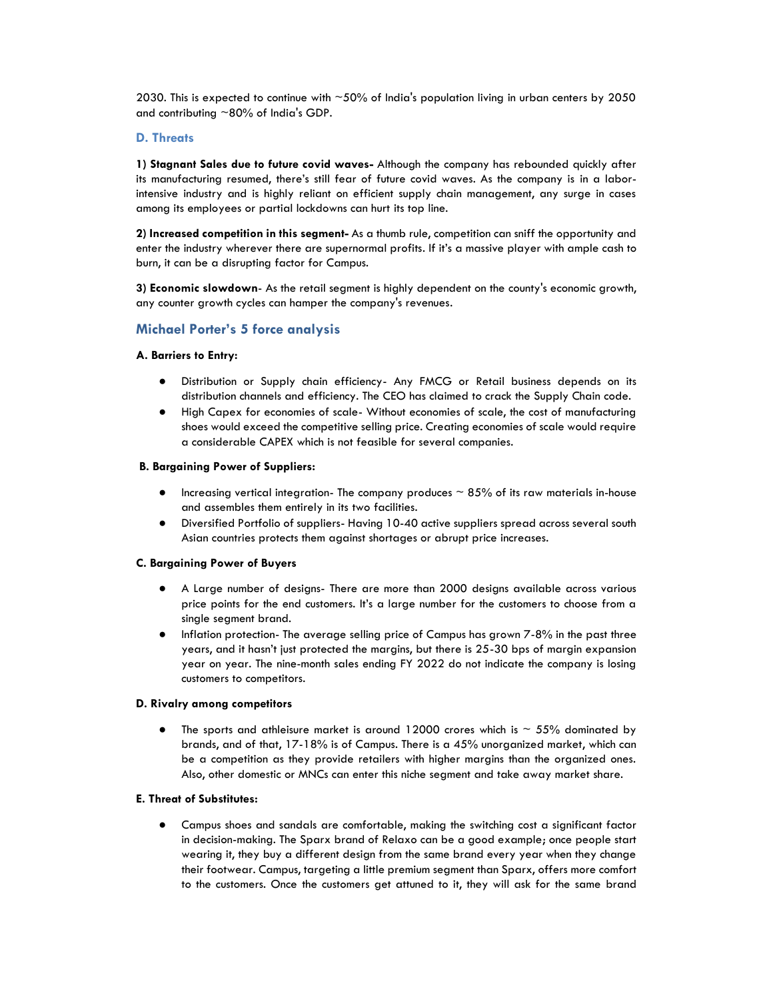2030. This is expected to continue with  $~50\%$  of India's population living in urban centers by 2050 and contributing  $~80\%$  of India's GDP.

### **D. Threats**

**1) Stagnant Sales due to future covid waves-** Although the company has rebounded quickly after its manufacturing resumed, there's still fear of future covid waves. As the company is in a laborintensive industry and is highly reliant on efficient supply chain management, any surge in cases among its employees or partial lockdowns can hurt its top line.

**2) Increased competition in this segment-** As a thumb rule, competition can sniff the opportunity and enter the industry wherever there are supernormal profits. If it's a massive player with ample cash to burn, it can be a disrupting factor for Campus.

**3) Economic slowdown**- As the retail segment is highly dependent on the county's economic growth, any counter growth cycles can hamper the company's revenues.

# **Michael Porter's 5 force analysis**

### **A. Barriers to Entry:**

- Distribution or Supply chain efficiency- Any FMCG or Retail business depends on its distribution channels and efficiency. The CEO has claimed to crack the Supply Chain code.
- High Capex for economies of scale- Without economies of scale, the cost of manufacturing shoes would exceed the competitive selling price. Creating economies of scale would require a considerable CAPEX which is not feasible for several companies.

### **B. Bargaining Power of Suppliers:**

- Increasing vertical integration- The company produces  $\sim$  85% of its raw materials in-house and assembles them entirely in its two facilities.
- Diversified Portfolio of suppliers- Having 10-40 active suppliers spread across several south Asian countries protects them against shortages or abrupt price increases.

### **C. Bargaining Power of Buyers**

- A Large number of designs- There are more than 2000 designs available across various price points for the end customers. It's a large number for the customers to choose from a single segment brand.
- Inflation protection- The average selling price of Campus has grown 7-8% in the past three years, and it hasn't just protected the margins, but there is 25-30 bps of margin expansion year on year. The nine-month sales ending FY 2022 do not indicate the company is losing customers to competitors.

### **D. Rivalry among competitors**

The sports and athleisure market is around 12000 crores which is  $\sim$  55% dominated by brands, and of that, 17-18% is of Campus. There is a 45% unorganized market, which can be a competition as they provide retailers with higher margins than the organized ones. Also, other domestic or MNCs can enter this niche segment and take away market share.

### **E. Threat of Substitutes:**

● Campus shoes and sandals are comfortable, making the switching cost a significant factor in decision-making. The Sparx brand of Relaxo can be a good example; once people start wearing it, they buy a different design from the same brand every year when they change their footwear. Campus, targeting a little premium segment than Sparx, offers more comfort to the customers. Once the customers get attuned to it, they will ask for the same brand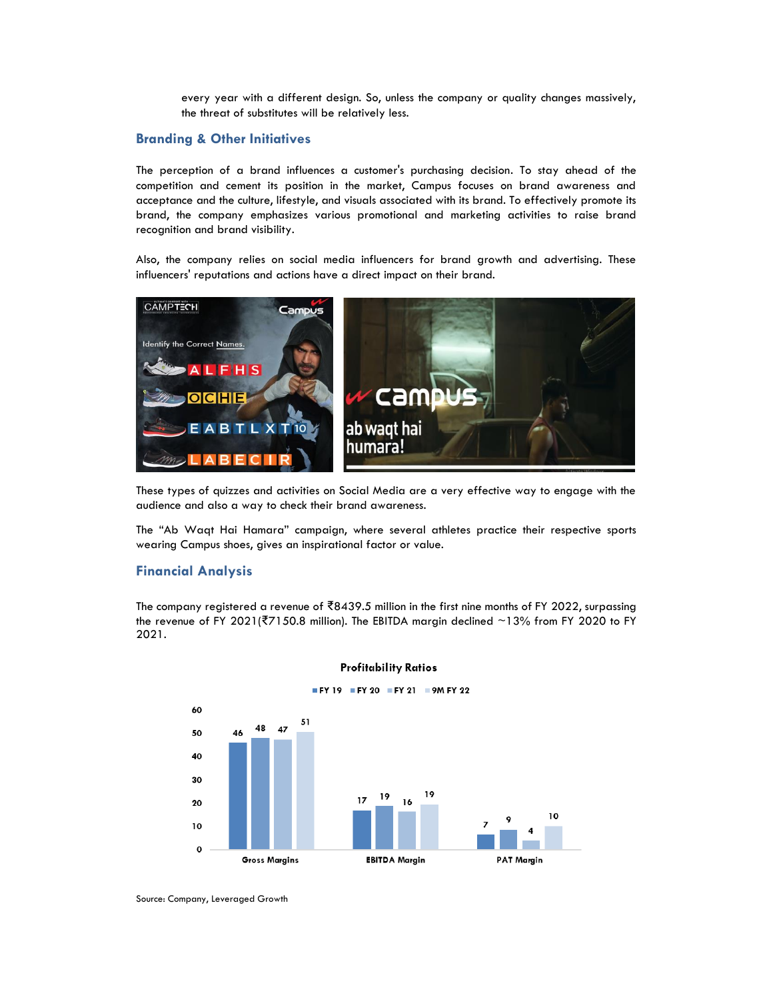every year with a different design. So, unless the company or quality changes massively, the threat of substitutes will be relatively less.

### **Branding & Other Initiatives**

The perception of a brand influences a customer's purchasing decision. To stay ahead of the competition and cement its position in the market, Campus focuses on brand awareness and acceptance and the culture, lifestyle, and visuals associated with its brand. To effectively promote its brand, the company emphasizes various promotional and marketing activities to raise brand recognition and brand visibility.

Also, the company relies on social media influencers for brand growth and advertising. These influencers' reputations and actions have a direct impact on their brand.



These types of quizzes and activities on Social Media are a very effective way to engage with the audience and also a way to check their brand awareness.

The "Ab Waqt Hai Hamara" campaign, where several athletes practice their respective sports wearing Campus shoes, gives an inspirational factor or value.

# **Financial Analysis**

The company registered a revenue of ₹8439.5 million in the first nine months of FY 2022, surpassing the revenue of FY 2021(₹7150.8 million). The EBITDA margin declined ~13% from FY 2020 to FY 2021.





 $FY 19 = FY 20 = FY 21 = 9M FY 22$ 

Source: Company, Leveraged Growth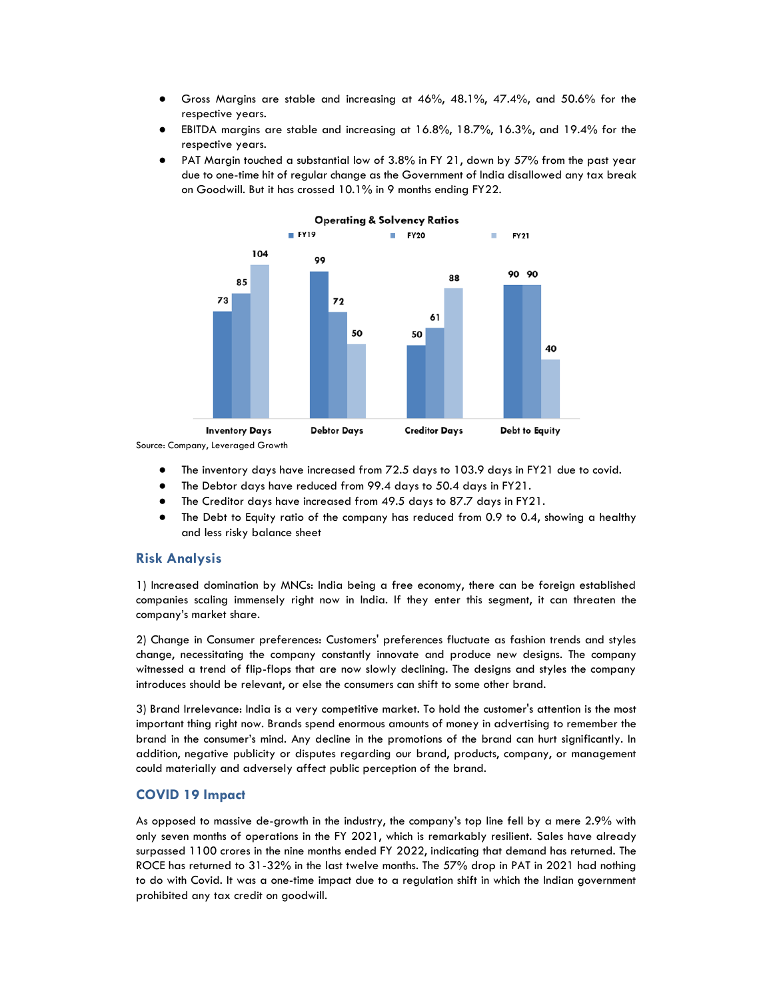- Gross Margins are stable and increasing at 46%, 48.1%, 47.4%, and 50.6% for the respective years.
- EBITDA margins are stable and increasing at  $16.8\%$ ,  $18.7\%$ ,  $16.3\%$ , and  $19.4\%$  for the respective years.
- PAT Margin touched a substantial low of 3.8% in FY 21, down by 57% from the past year due to one-time hit of regular change as the Government of India disallowed any tax break on Goodwill. But it has crossed 10.1% in 9 months ending FY22.



Source: Company, Leveraged Growth

- The inventory days have increased from 72.5 days to 103.9 days in FY21 due to covid.
- The Debtor days have reduced from 99.4 days to 50.4 days in FY21.
- The Creditor days have increased from 49.5 days to 87.7 days in FY21.
- The Debt to Equity ratio of the company has reduced from 0.9 to 0.4, showing a healthy and less risky balance sheet

# **Risk Analysis**

1) Increased domination by MNCs: India being a free economy, there can be foreign established companies scaling immensely right now in India. If they enter this segment, it can threaten the company's market share.

2) Change in Consumer preferences: Customers' preferences fluctuate as fashion trends and styles change, necessitating the company constantly innovate and produce new designs. The company witnessed a trend of flip-flops that are now slowly declining. The designs and styles the company introduces should be relevant, or else the consumers can shift to some other brand.

3) Brand Irrelevance: India is a very competitive market. To hold the customer's attention is the most important thing right now. Brands spend enormous amounts of money in advertising to remember the brand in the consumer's mind. Any decline in the promotions of the brand can hurt significantly. In addition, negative publicity or disputes regarding our brand, products, company, or management could materially and adversely affect public perception of the brand.

# **COVID 19 Impact**

As opposed to massive de-growth in the industry, the company's top line fell by a mere 2.9% with only seven months of operations in the FY 2021, which is remarkably resilient. Sales have already surpassed 1100 crores in the nine months ended FY 2022, indicating that demand has returned. The ROCE has returned to 31-32% in the last twelve months. The 57% drop in PAT in 2021 had nothing to do with Covid. It was a one-time impact due to a regulation shift in which the Indian government prohibited any tax credit on goodwill.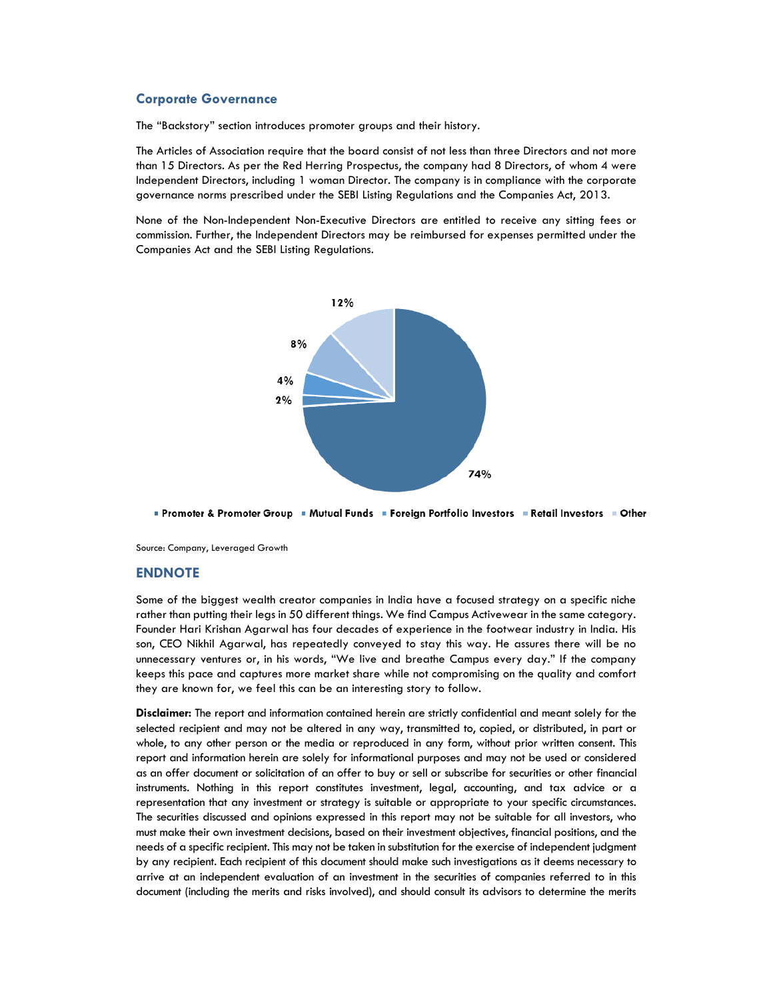#### **Corporate Governance**

The "Backstory" section introduces promoter groups and their history.

The Articles of Association require that the board consist of not less than three Directors and not more than 15 Directors. As per the Red Herring Prospectus, the company had 8 Directors, of whom 4 were Independent Directors, including 1 woman Director. The company is in compliance with the corporate governance norms prescribed under the SEBI Listing Regulations and the Companies Act, 2013.

None of the Non-Independent Non-Executive Directors are entitled to receive any sitting fees or commission. Further, the Independent Directors may be reimbursed for expenses permitted under the Companies Act and the SEBI Listing Regulations.



Promoter & Promoter Group = Mutual Funds = Foreign Portfolio Investors = Retail Investors = Other

Source: Company, Leveraged Growth

#### **ENDNOTE**

Some of the biggest wealth creator companies in India have a focused strategy on a specific niche rather than putting their legs in 50 different things. We find Campus Activewear in the same category. Founder Hari Krishan Agarwal has four decades of experience in the footwear industry in India. His son, CEO Nikhil Agarwal, has repeatedly conveyed to stay this way. He assures there will be no unnecessary ventures or, in his words, "We live and breathe Campus every day." If the company keeps this pace and captures more market share while not compromising on the quality and comfort they are known for, we feel this can be an interesting story to follow.

**Disclaimer:** The report and information contained herein are strictly confidential and meant solely for the selected recipient and may not be altered in any way, transmitted to, copied, or distributed, in part or whole, to any other person or the media or reproduced in any form, without prior written consent. This report and information herein are solely for informational purposes and may not be used or considered as an offer document or solicitation of an offer to buy or sell or subscribe for securities or other financial instruments. Nothing in this report constitutes investment, legal, accounting, and tax advice or a representation that any investment or strategy is suitable or appropriate to your specific circumstances. The securities discussed and opinions expressed in this report may not be suitable for all investors, who must make their own investment decisions, based on their investment objectives, financial positions, and the needs of a specific recipient. This may not be taken in substitution for the exercise of independent judgment by any recipient. Each recipient of this document should make such investigations as it deems necessary to arrive at an independent evaluation of an investment in the securities of companies referred to in this document (including the merits and risks involved), and should consult its advisors to determine the merits